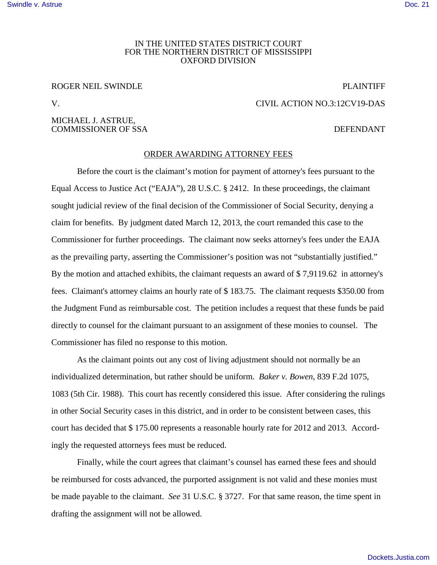### IN THE UNITED STATES DISTRICT COURT FOR THE NORTHERN DISTRICT OF MISSISSIPPI OXFORD DIVISION

# ROGER NEIL SWINDLE FOR THE PLAINTIFF

V. CIVIL ACTION NO.3:12CV19-DAS

### MICHAEL J. ASTRUE, COMMISSIONER OF SSA DEFENDANT

## ORDER AWARDING ATTORNEY FEES

Before the court is the claimant's motion for payment of attorney's fees pursuant to the Equal Access to Justice Act ("EAJA"), 28 U.S.C. § 2412. In these proceedings, the claimant sought judicial review of the final decision of the Commissioner of Social Security, denying a claim for benefits. By judgment dated March 12, 2013, the court remanded this case to the Commissioner for further proceedings. The claimant now seeks attorney's fees under the EAJA as the prevailing party, asserting the Commissioner's position was not "substantially justified." By the motion and attached exhibits, the claimant requests an award of \$ 7,9119.62 in attorney's fees. Claimant's attorney claims an hourly rate of \$ 183.75. The claimant requests \$350.00 from the Judgment Fund as reimbursable cost. The petition includes a request that these funds be paid directly to counsel for the claimant pursuant to an assignment of these monies to counsel. The Commissioner has filed no response to this motion.

As the claimant points out any cost of living adjustment should not normally be an individualized determination, but rather should be uniform. *Baker v. Bowen*, 839 F.2d 1075, 1083 (5th Cir. 1988). This court has recently considered this issue. After considering the rulings in other Social Security cases in this district, and in order to be consistent between cases, this court has decided that \$ 175.00 represents a reasonable hourly rate for 2012 and 2013. Accordingly the requested attorneys fees must be reduced.

Finally, while the court agrees that claimant's counsel has earned these fees and should be reimbursed for costs advanced, the purported assignment is not valid and these monies must be made payable to the claimant. *See* 31 U.S.C. § 3727. For that same reason, the time spent in drafting the assignment will not be allowed.